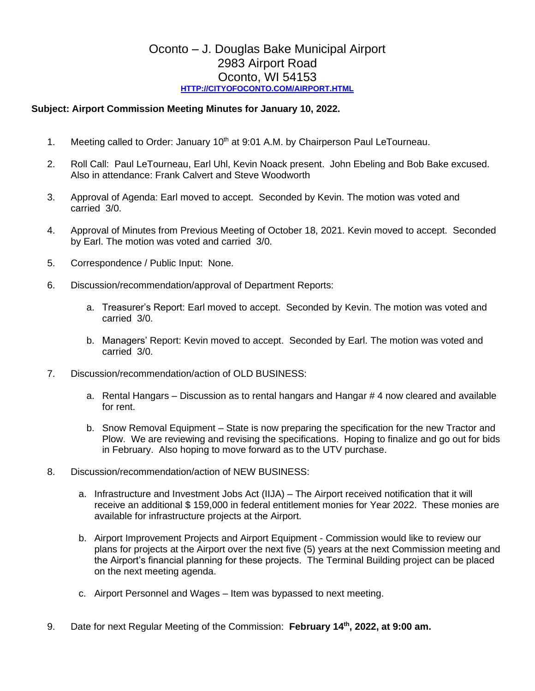## Oconto – J. Douglas Bake Municipal Airport 2983 Airport Road Oconto, WI 54153 **[HTTP://CITYOFOCONTO.COM/AIRPORT.HTML](http://cityofoconto.com/Airport.html)**

## **Subject: Airport Commission Meeting Minutes for January 10, 2022.**

- 1. Meeting called to Order: January  $10<sup>th</sup>$  at 9:01 A.M. by Chairperson Paul LeTourneau.
- 2. Roll Call: Paul LeTourneau, Earl Uhl, Kevin Noack present. John Ebeling and Bob Bake excused. Also in attendance: Frank Calvert and Steve Woodworth
- 3. Approval of Agenda: Earl moved to accept. Seconded by Kevin. The motion was voted and carried 3/0.
- 4. Approval of Minutes from Previous Meeting of October 18, 2021. Kevin moved to accept. Seconded by Earl. The motion was voted and carried 3/0.
- 5. Correspondence / Public Input: None.
- 6. Discussion/recommendation/approval of Department Reports:
	- a. Treasurer's Report: Earl moved to accept. Seconded by Kevin. The motion was voted and carried 3/0.
	- b. Managers' Report: Kevin moved to accept. Seconded by Earl. The motion was voted and carried 3/0.
- 7. Discussion/recommendation/action of OLD BUSINESS:
	- a. Rental Hangars Discussion as to rental hangars and Hangar # 4 now cleared and available for rent.
	- b. Snow Removal Equipment State is now preparing the specification for the new Tractor and Plow. We are reviewing and revising the specifications. Hoping to finalize and go out for bids in February. Also hoping to move forward as to the UTV purchase.
- 8. Discussion/recommendation/action of NEW BUSINESS:
	- a. Infrastructure and Investment Jobs Act (IIJA) The Airport received notification that it will receive an additional \$ 159,000 in federal entitlement monies for Year 2022. These monies are available for infrastructure projects at the Airport.
	- b. Airport Improvement Projects and Airport Equipment Commission would like to review our plans for projects at the Airport over the next five (5) years at the next Commission meeting and the Airport's financial planning for these projects. The Terminal Building project can be placed on the next meeting agenda.
	- c. Airport Personnel and Wages Item was bypassed to next meeting.
- 9. Date for next Regular Meeting of the Commission: **February 14th, 2022, at 9:00 am.**